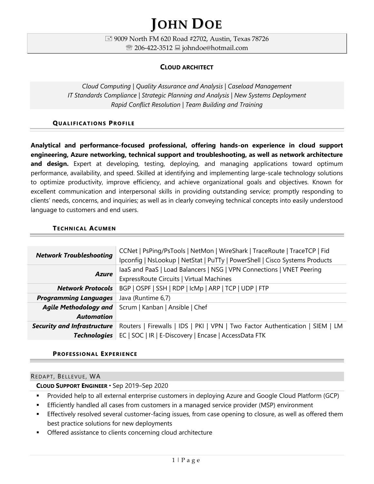# **JOHN DOE**

 9009 North FM 620 Road #2702, Austin, Texas 78726 <sup>®</sup> 206-422-3512 **■** johndoe@hotmail.com

# **CLOUD ARCHITECT**

*Cloud Computing | Quality Assurance and Analysis | Caseload Management IT Standards Compliance | Strategic Planning and Analysis | New Systems Deployment Rapid Conflict Resolution | Team Building and Training*

## **QUA L I FICA TIONS PROFI L E**

**Analytical and performance-focused professional, offering hands-on experience in cloud support engineering, Azure networking, technical support and troubleshooting, as well as network architecture and design.** Expert at developing, testing, deploying, and managing applications toward optimum performance, availability, and speed. Skilled at identifying and implementing large-scale technology solutions to optimize productivity, improve efficiency, and achieve organizational goals and objectives. Known for excellent communication and interpersonal skills in providing outstanding service; promptly responding to clients' needs, concerns, and inquiries; as well as in clearly conveying technical concepts into easily understood language to customers and end users.

## **TECHNICAL ACUMEN**

| <b>Network Troubleshooting</b>     | CCNet   PsPing/PsTools   NetMon   WireShark   TraceRoute   TraceTCP   Fid<br>Ipconfig   NsLookup   NetStat   PuTTy   PowerShell   Cisco Systems Products |
|------------------------------------|----------------------------------------------------------------------------------------------------------------------------------------------------------|
| <b>Azure</b>                       | laaS and PaaS   Load Balancers   NSG   VPN Connections   VNET Peering                                                                                    |
|                                    | ExpressRoute Circuits   Virtual Machines                                                                                                                 |
| <b>Network Protocols</b>           | BGP   OSPF   SSH   RDP   IcMp   ARP   TCP   UDP   FTP                                                                                                    |
| <b>Programming Languages</b>       | Java (Runtime 6,7)                                                                                                                                       |
|                                    | Agile Methodology and   Scrum   Kanban   Ansible   Chef                                                                                                  |
| <b>Automation</b>                  |                                                                                                                                                          |
| <b>Security and Infrastructure</b> | Routers   Firewalls   IDS   PKI   VPN   Two Factor Authentication   SIEM   LM                                                                            |
| <b>Technologies</b>                | EC   SOC   IR   E-Discovery   Encase   AccessData FTK                                                                                                    |

#### **PROFESSIONAL EXPERIENCE**

#### REDAPT, BELLEVUE, WA

#### **CLOUD SUPPORT ENGINEER** Sep 2019–Sep 2020

- **•** Provided help to all external enterprise customers in deploying Azure and Google Cloud Platform (GCP)
- Efficiently handled all cases from customers in a managed service provider (MSP) environment
- **Effectively resolved several customer-facing issues, from case opening to closure, as well as offered them** best practice solutions for new deployments
- Offered assistance to clients concerning cloud architecture